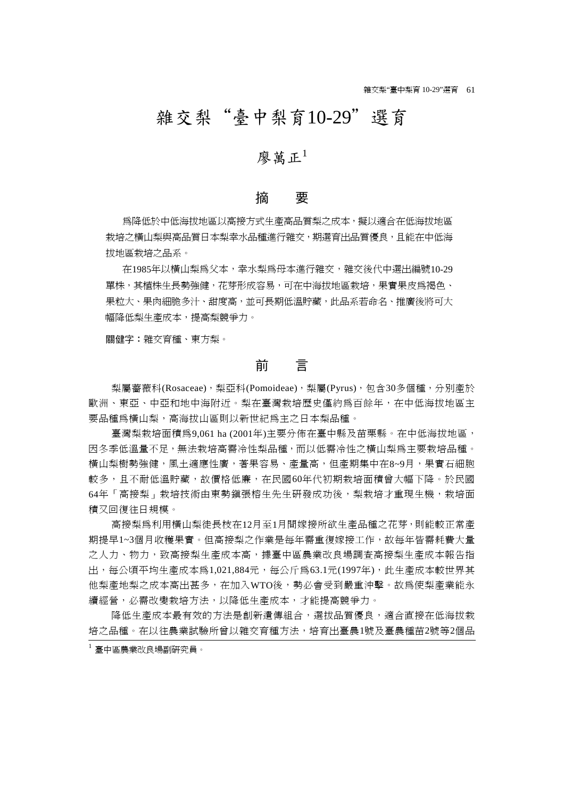# 雜交梨"臺中梨育10-29"選育

# 廖萬正 $1$

## 摘 要

為降低於中低海拔地區以高接方式生產高品質梨之成本,擬以適合在低海拔地區 栽培之橫山梨與高品質日本梨幸水品種進行雜交,期選育出品質優良,且能在中低海 拔地區栽培之品系。

在1985年以橫山梨為父本,幸水梨為母本進行雜交,雜交後代中選出編號10-29 單株,其植株生長勢強健,花芽形成容易,可在中海拔地區栽培,果實果皮為褐色、 果粒大、果肉細脆多汁、甜度高,並可長期低溫貯藏,此品系若命名、推廣後將可大 幅降低梨生產成本,提高梨競爭力。

關健字:雜交育種、東方梨。

# 前 言

梨屬薔薇科(Rosaceae),梨亞科(Pomoideae),梨屬(Pyrus),包含30多個種,分別產於 歐洲、東亞、中亞和地中海附近。梨在臺灣栽培歷史僅約為百餘年,在中低海拔地區主 要品種為橫山梨,高海拔山區則以新世紀為主之日本梨品種。

臺灣梨栽培面積為9,061 ha (2001年)主要分佈在臺中縣及苗栗縣。在中低海拔地區, 因冬季低溫量不足,無法栽培高需冷性梨品種,而以低需冷性之橫山梨為主要栽培品種。 橫山梨樹勢強健,風土適應性廣,著果容易、產量高,但產期集中在8~9月,果實石細胞 較多,且不耐低溫貯藏,故價格低廉,在民國60年代初期栽培面積曾大幅下降。於民國 64年「高接梨」栽培技術由東勢鎮張榕生先生研發成功後,梨栽培才重現生機,栽培面 積又回復往日規模。

高接梨為利用橫山梨徒長枝在12月至1月間嫁接所欲生產品種之花芽,則能較正常產 期提早1~3個月收穫果實。但高接梨之作業是每年需重復嫁接工作,故每年皆需耗費大量 之人力、物力,致高接梨生產成本高,據臺中區農業改良場調查高接梨生產成本報告指 出,每公頃平均生產成本為1,021,884元,每公斤為63.1元(1997年),此生產成本較世界其 他梨產地梨之成本高出甚多,在加入WTO後,勢必會受到嚴重沖擊。故為使梨產業能永 續經營,必需改變栽培方法,以降低生產成本,才能提高競爭力。

降低生產成本最有效的方法是創新遺傳組合,選拔品質優良,適合直接在低海拔栽 培之品種。在以往農業試驗所曾以雜交育種方法,培育出臺農1號及臺農種苗2號等2個品

<sup>1</sup>臺中區農業改良場副研究員。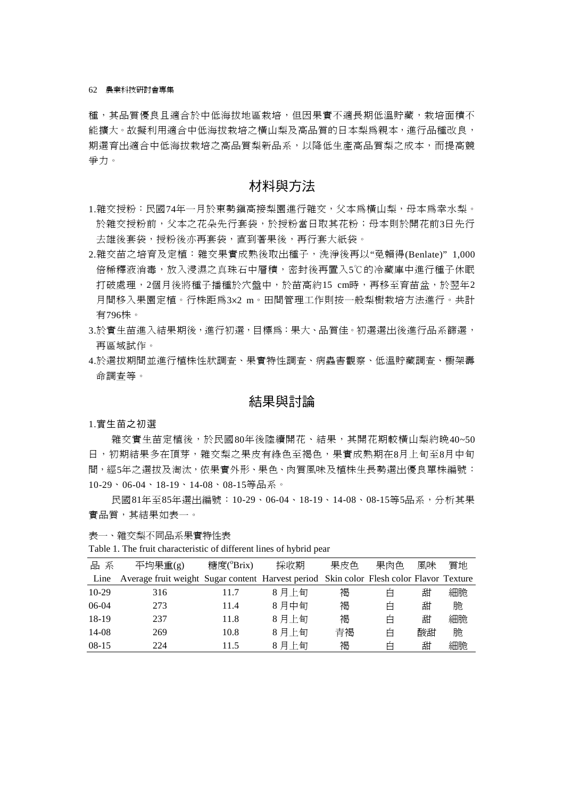種,其品質優良且適合於中低海拔地區栽培,但因果實不適長期低溫貯藏,栽培面積不 能擴大。故擬利用適合中低海拔栽培之橫山梨及高品質的日本梨為親本,進行品種改良, 期選育出適合中低海拔栽培之高品質梨新品系,以降低生產高品質梨之成本,而提高競 爭力。

# 材料與方法

- 1.雜交授粉:民國74年一月於東勢鎮高接梨園進行雜交,父本為橫山梨,母本為幸水梨。 於雜交授粉前,父本之花朵先行套袋,於授粉當日取其花粉;母本則於開花前3日先行 去雄後套袋,授粉後亦再套袋,直到著果後,再行套大紙袋。
- 2.雜交苗之培育及定植:雜交果實成熟後取出種子,洗淨後再以"免賴得(Benlate)" 1,000 倍稀釋液消毒,放入浸濕之真珠石中層積,密封後再置入5℃的冷藏庫中進行種子休眠 打破處理,2個月後將種子播種於穴盤中,於苗高約15 cm時,再移至育苗盆,於翌年2 月間移入果園定植。行株距為3×2 m。田間管理工作則按一般梨樹栽培方法進行。共計 有796株。
- 3.於實生苗進入結果期後,進行初選,目標為:果大、品質佳。初選選出後進行品系篩選, 再區域試作。
- 4.於選拔期間並進行植株性狀調查、果實特性調查、病蟲害觀察、低溫貯藏調查、櫥架壽 命調查等。

# 結果與討論

#### 1.實生苗之初選

雜交實生苗定植後,於民國80年後陸續開花、結果,其開花期較橫山梨約晩40~50 日,初期結果多在頂芽,雜交梨之果皮有綠色至褐色,果實成熟期在8月上旬至8月中旬 間,經5年之選拔及淘汰,依果實外形、果色、肉質風味及植株生長勢選出優良單株編號: 10-29、06-04、18-19、14-08、08-15等品系。

民國81年至85年選出編號:10-29、06-04、18-19、14-08、08-15等5品系,分析其果 實品質,其結果如表一。

表一、雜交梨不同品系果實特性表

Table 1. The fruit characteristic of different lines of hybrid pear

| 品系      | 平均果重(g)                                                                                 | 糖度(°Brix) | 採收期   | 果皮色 | 果肉色 | 風味 | 質地 |
|---------|-----------------------------------------------------------------------------------------|-----------|-------|-----|-----|----|----|
| Line    | Average fruit weight Sugar content Harvest period Skin color Flesh color Flavor Texture |           |       |     |     |    |    |
| $10-29$ | 316                                                                                     | 11.7      | 8月上旬  | 褐   | É   | 甜  | 細脆 |
| 06-04   | 273                                                                                     | 11.4      | 8月中旬  | 褐   | É   | 甜  | 脆  |
| 18-19   | 237                                                                                     | 11.8      | 8月上旬  | 褐   | É   | 甜  | 細脆 |
| 14-08   | 269                                                                                     | 10.8      | 8月上旬  | 青褐  | Ė   | 酸甜 | 脆  |
| $08-15$ | 224                                                                                     | 11.5      | 8 月上旬 | 褐   | Ė   | 甜  | 細脆 |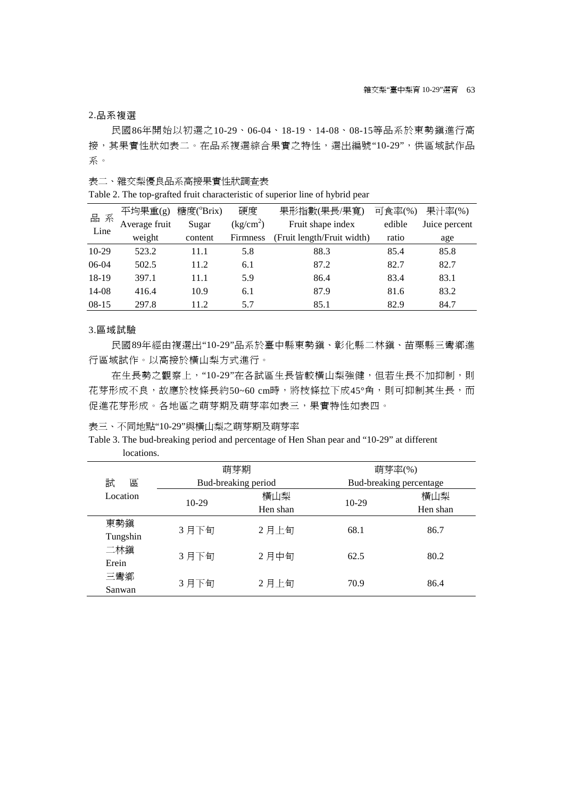## 2.品系複選

民國86年開始以初選之10-29、06-04、18-19、14-08、08-15等品系於東勢鎮進行高 接,其果實性狀如表二。在品系複選綜合果實之特性,選出編號"10-29",供區域試作品 系。

表二、雜交梨優良品系高接果實性狀調查表

Table 2. The top-grafted fruit characteristic of superior line of hybrid pear

| 品系      | 平均果重(g)       | 糖度(°Brix) | 硬度                                  | 果形指數(果長/果寬)                | 可食率(%) | 果汁率(%)        |
|---------|---------------|-----------|-------------------------------------|----------------------------|--------|---------------|
|         | Average fruit | Sugar     | $\frac{\text{kg/cm}^2}{\text{m}^2}$ | Fruit shape index          | edible | Juice percent |
| Line    | weight        | content   | <b>Firmness</b>                     | (Fruit length/Fruit width) | ratio  | age           |
| $10-29$ | 523.2         | 11.1      | 5.8                                 | 88.3                       | 85.4   | 85.8          |
| 06-04   | 502.5         | 11.2      | 6.1                                 | 87.2                       | 82.7   | 82.7          |
| 18-19   | 397.1         | 11.1      | 5.9                                 | 86.4                       | 83.4   | 83.1          |
| 14-08   | 416.4         | 10.9      | 6.1                                 | 87.9                       | 81.6   | 83.2          |
| $08-15$ | 297.8         | 11.2      | 5.7                                 | 85.1                       | 82.9   | 84.7          |

#### 3.區域試驗

民國89年經由複選出"10-29"品系於臺中縣東勢鎮、彰化縣二林鎮、苗栗縣三彎鄉進 行區域試作。以高接於橫山梨方式進行。

在生長勢之觀察上, "10-29"在各試區生長皆較橫山梨強健, 但若生長不加抑制, 則 花芽形成不良,故應於枝條長約50~60 cm時,將枝條拉下成45°角,則可抑制其生長,而 促進花芽形成。各地區之萌芽期及萌芽率如表三,果實特性如表四。

表三、不同地點"10-29"與橫山梨之萌芽期及萌芽率

## Table 3. The bud-breaking period and percentage of Hen Shan pear and "10-29" at different locations.

|              |         | 萌芽期                 |         | 萌芽率(%)                  |
|--------------|---------|---------------------|---------|-------------------------|
| 試<br>區       |         | Bud-breaking period |         | Bud-breaking percentage |
| Location     | $10-29$ | 橫山梨                 | $10-29$ | 橫山梨                     |
|              |         | Hen shan            |         | Hen shan                |
| 東勢鎭          | 3月下旬    | 2月上旬                | 68.1    | 86.7                    |
| Tungshin     |         |                     |         |                         |
| 二林鎭<br>Erein | 3月下旬    | 2月中旬                | 62.5    | 80.2                    |
| 三彎鄉          | 3月下旬    | 2月上旬                | 70.9    | 86.4                    |
| Sanwan       |         |                     |         |                         |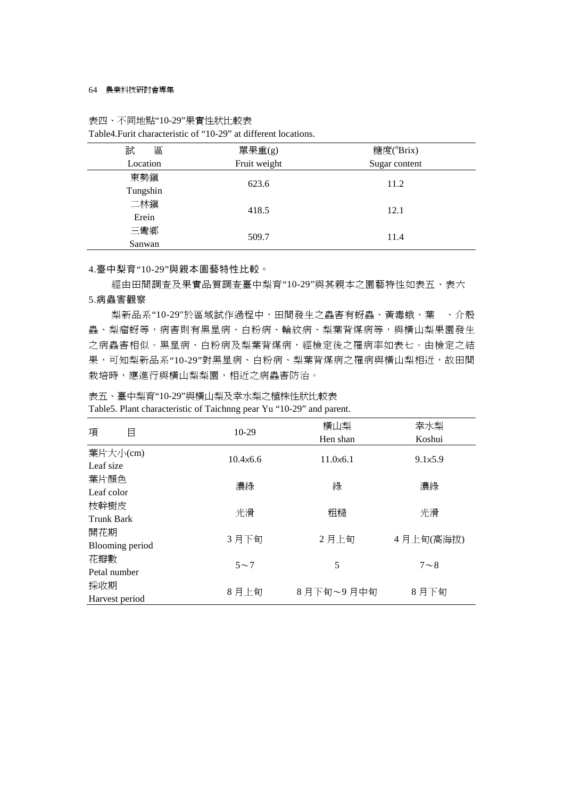#### 64 農業科技研討會專集

## 表四、不同地點"10-29"果實性狀比較表

## Table4.Furit characteristic of "10-29" at different locations.

| 試<br>區   | 單果重(g)       | 糖度(°Brix)     |  |  |
|----------|--------------|---------------|--|--|
| Location | Fruit weight | Sugar content |  |  |
| 東勢鎭      | 623.6        | 11.2          |  |  |
| Tungshin |              |               |  |  |
| 二林鎭      | 418.5        | 12.1          |  |  |
| Erein    |              |               |  |  |
| 三彎鄉      | 509.7        | 11.4          |  |  |
| Sanwan   |              |               |  |  |

### 4.臺中梨育"10-29"與親本園藝特性比較。

經由田間調查及果實品質調查臺中梨育"10-29"與其親本之園藝特性如表五、表六

### 5.病蟲害觀察

梨新品系"10-29"於區域試作過程中,田間發生之蟲害有蚜蟲、黃毒蛾、葉 蟲、梨瘤蚜等,病害則有黑星病、白粉病、輪紋病、梨葉背煤病等,與橫山梨果園發生 之病蟲害相似。黑星病、白粉病及梨葉背煤病,經檢定後之罹病率如表七。由檢定之結 果,可知梨新品系"10-29"對黑星病、白粉病、梨葉背煤病之罹病與橫山梨相近,故田間 栽培時,應進行與橫山梨梨園,相近之病蟲害防治。

表五、臺中梨育"10-29"與橫山梨及幸水梨之植株性狀比較表

|  | Table5. Plant characteristic of Taichnng pear Yu "10-29" and parent. |  |  |  |  |
|--|----------------------------------------------------------------------|--|--|--|--|
|  |                                                                      |  |  |  |  |

|                           |                  | 橫山梨              | 幸水梨        |  |
|---------------------------|------------------|------------------|------------|--|
| 項<br>目                    | $10-29$          | Hen shan         | Koshui     |  |
| 葉片大小(cm)<br>Leaf size     | $10.4\times 6.6$ | $11.0\times 6.1$ | 9.1x5.9    |  |
| 葉片顏色<br>Leaf color        | 濃綠               | 綠                | 濃綠         |  |
| 枝幹樹皮<br><b>Trunk Bark</b> | 光滑               | 粗糙               | 光滑         |  |
| 開花期<br>Blooming period    | 3月下旬             | 2月上旬             | 4月上旬(高海拔)  |  |
| 花瓣數<br>Petal number       | $5\sim$ 7        | 5                | $7 \sim 8$ |  |
| 採收期<br>Harvest period     | 8月上旬             | 8月下旬~9月中旬        | 8月下旬       |  |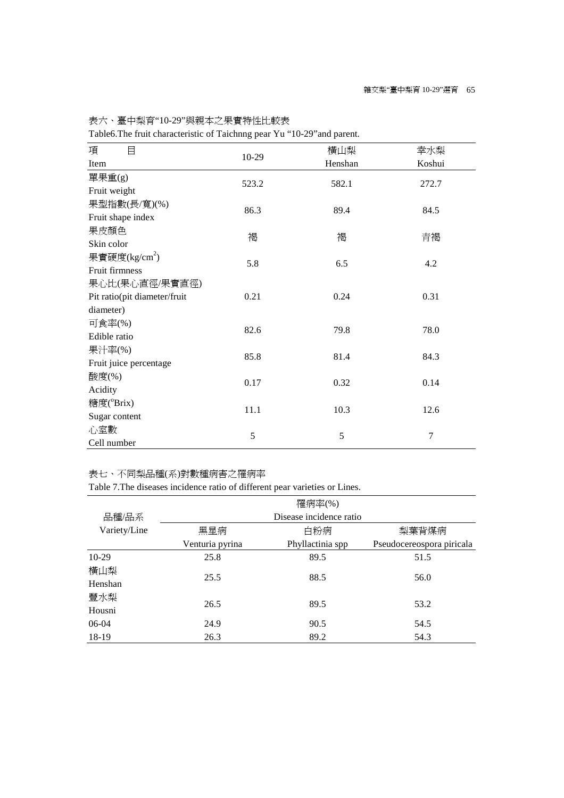表六、臺中梨育"10-29"與親本之果實特性比較表

Table6.The fruit characteristic of Taichnng pear Yu "10-29"and parent.

| 目<br>項                       |         | 橫山梨     | 幸水梨            |  |  |
|------------------------------|---------|---------|----------------|--|--|
| Item                         | $10-29$ | Henshan | Koshui         |  |  |
| 單果重(g)                       |         |         |                |  |  |
| Fruit weight                 | 523.2   | 582.1   | 272.7          |  |  |
| 果型指數(長/寬)(%)                 |         |         |                |  |  |
| Fruit shape index            | 86.3    | 89.4    | 84.5           |  |  |
| 果皮顏色                         |         |         |                |  |  |
| Skin color                   | 褐       | 褐       | 青褐             |  |  |
| 果實硬度(kg/cm <sup>2</sup> )    | 5.8     | 6.5     | 4.2            |  |  |
| Fruit firmness               |         |         |                |  |  |
| 果心比(果心直徑/果實直徑)               |         |         |                |  |  |
| Pit ratio(pit diameter/fruit | 0.21    | 0.24    | 0.31           |  |  |
| diameter)                    |         |         |                |  |  |
| 可食率(%)                       | 82.6    | 79.8    | 78.0           |  |  |
| Edible ratio                 |         |         |                |  |  |
| 果汁率(%)                       | 85.8    | 81.4    | 84.3           |  |  |
| Fruit juice percentage       |         |         |                |  |  |
| 酸度(%)                        | 0.17    | 0.32    | 0.14           |  |  |
| Acidity                      |         |         |                |  |  |
| 糖度(°Brix)                    | 11.1    | 10.3    | 12.6           |  |  |
| Sugar content                |         |         |                |  |  |
| 心室數                          | 5       | 5       | $\overline{7}$ |  |  |
| Cell number                  |         |         |                |  |  |

## 表七、不同梨品種(系)對數種病害之罹病率

Table 7.The diseases incidence ratio of different pear varieties or Lines.

|              |                         | 罹病率(%)           |                           |  |  |  |
|--------------|-------------------------|------------------|---------------------------|--|--|--|
| 品種/品系        | Disease incidence ratio |                  |                           |  |  |  |
| Variety/Line | 黑星病                     | 白粉病              | 梨葉背煤病                     |  |  |  |
|              | Venturia pyrina         | Phyllactinia spp | Pseudocereospora piricala |  |  |  |
| $10-29$      | 25.8                    | 89.5             | 51.5                      |  |  |  |
| 橫山梨          | 25.5                    | 88.5             | 56.0                      |  |  |  |
| Henshan      |                         |                  |                           |  |  |  |
| 豐水梨          | 26.5                    | 89.5             | 53.2                      |  |  |  |
| Housni       |                         |                  |                           |  |  |  |
| 06-04        | 24.9                    | 90.5             | 54.5                      |  |  |  |
| 18-19        | 26.3                    | 89.2             | 54.3                      |  |  |  |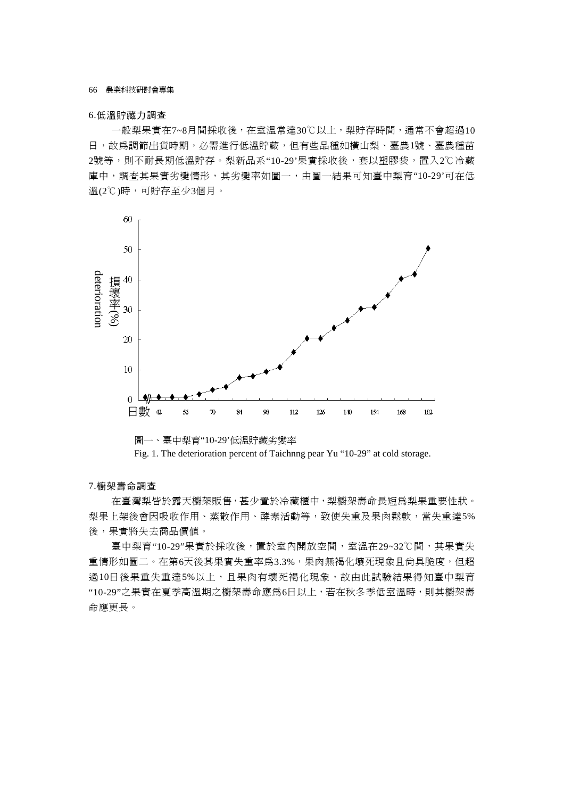66 農業科技研討會專集

### 6.低溫貯藏力調查

一般梨果實在7~8月間採收後,在室溫常達30℃以上,梨貯存時間,通常不會超過10 日,故為調節出貨時期,必需進行低溫貯藏,但有些品種如橫山梨、臺農1號、臺農種苗 2號等,則不耐長期低溫貯存。梨新品系"10-29'果實採收後,套以塑膠袋,置入2℃冷藏 庫中,調查其果實劣變情形,其劣變率如圖一,由圖一結果可知臺中梨育"10-29'可在低 溫(2℃)時,可貯存至少3個月。



圖一、臺中梨育"10-29'低溫貯藏劣變率 Fig. 1. The deterioration percent of Taichnng pear Yu "10-29" at cold storage.

#### 7.櫥架壽命調查

在臺灣梨皆於露天櫥架販售,甚少置於冷藏櫃中,梨櫥架壽命長短為梨果重要性狀。 梨果上架後會因吸收作用、蒸散作用、酵素活動等,致使失重及果肉鬆軟,當失重達5% 後,果實將失去商品價值。

臺中梨育"10-29"果實於採收後,置於室內開放空間,室溫在29~32℃間,其果實失 重情形如圖二。在第6天後其果實失重率爲3.3%,果肉無褐化壞死現象且尙具脆度,但超 過10日後果重失主事5%以上,且果肉有壞死褐化現象,故由此試驗結果得知臺中梨育 "10-29"之果實在夏季高溫期之櫥架壽命應為6日以上,若在秋冬季低室溫時,則其櫥架壽 命應更長。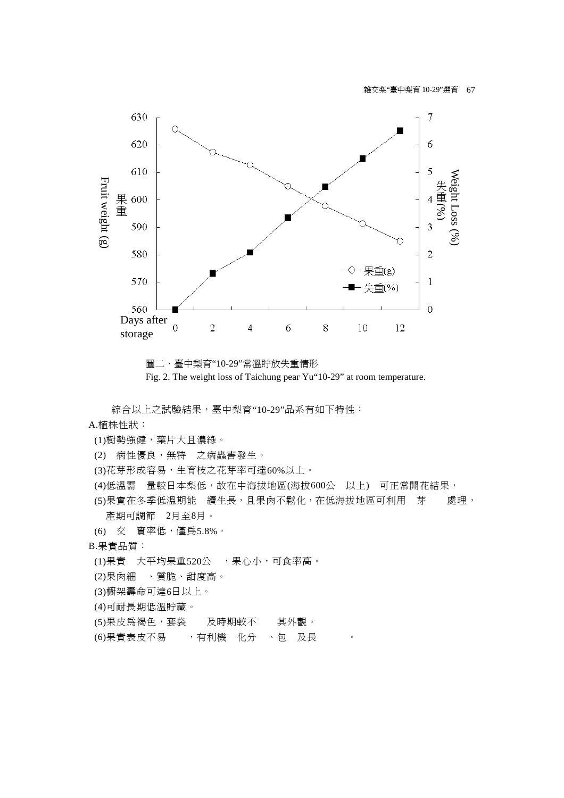

圖二、臺中梨育"10-29"常溫貯放失重情形 Fig. 2. The weight loss of Taichung pear Yu"10-29" at room temperature.

綜合以上之試驗結果,臺中梨育"10-29"品系有如下特性:

- A.植株性狀:
- (1)樹勢強健,葉片大且濃綠。
- (2)ݼ病性優良,無特之病蟲害發生。
- (3)花芽形成容易,生育枝之花芽率可達60%以上。
- (4)低溫需 量較日本梨低,故在中海拔地區(海拔600公 以上) 可正常開花結果,
- (5)果實在冬季低溫期能 續生長,且果肉不鬆化,在低海拔地區可利用 芽 處理, 產期可調節 2月至8月。
- (6)۞交ᆉ實率低,僅為5.8%。
- B.果實品質:
- (1)果實 大平均果重520公 ,果心小,可食率高。
- (2)果肉細、質脆、甜度高。
- (3)櫥架壽命可達6日以上。
- (4)可耐長期低溫貯藏。
- (5)果皮為褐色,套袋<br>及時期較不<br>其外觀。
- (6)果實表皮不易<br>
, 有利機 化分 、包 及長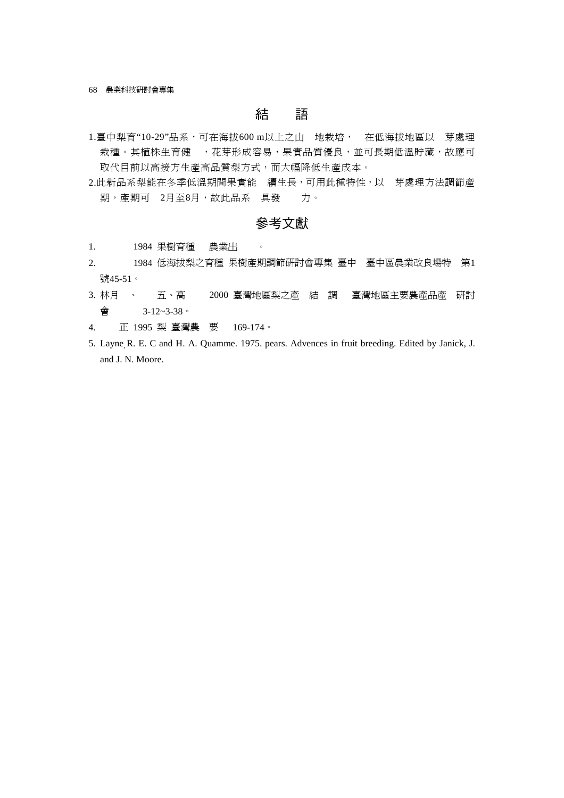68 農業科技研討會專集

# 結 語

- 1.臺中梨育"10-29"品系,可在海拔600 m以上之山 地栽培, 在低海拔地區以 芽處理 栽種。其植株生育健 , 花芽形成容易, 果實品質優良, 並可長期低溫貯藏,故應可 取代目前以高接方生產高品質梨方式,而大幅降低生產成本。
- 2.此新品系梨能在冬季低溫期間果實能 續生長,可用此種特性,以 芽處理方法調節產 期,產期可 2月至8月,故此品系 具發 力。

## 參考文獻

- 1. 1984 果樹育種 農業出 。
- 2. 1984 低海拔梨之育種 果樹產期調節研討會專集 臺中 臺中區農業改良場特 第1 號45-51。
- 3. 林月へ<br>3. 林月への五、高の2000 臺灣地區梨之產 結 調 臺灣地區主要農產品產<br> 會 3-12~3-38。
- 4. 正 1995 梨 臺灣農要 169-174。
- 5. Layne, R. E. C and H. A. Quamme. 1975. pears. Advences in fruit breeding. Edited by Janick, J. and J. N. Moore.